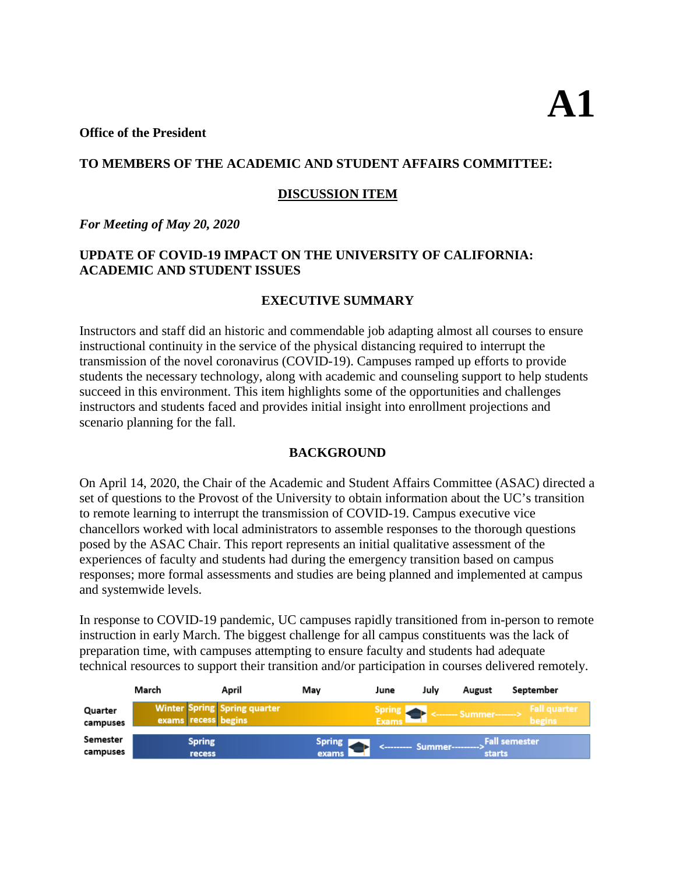#### **Office of the President**

## **TO MEMBERS OF THE ACADEMIC AND STUDENT AFFAIRS COMMITTEE:**

## **DISCUSSION ITEM**

*For Meeting of May 20, 2020* 

# **UPDATE OF COVID-19 IMPACT ON THE UNIVERSITY OF CALIFORNIA: ACADEMIC AND STUDENT ISSUES**

# **EXECUTIVE SUMMARY**

Instructors and staff did an historic and commendable job adapting almost all courses to ensure instructional continuity in the service of the physical distancing required to interrupt the transmission of the novel coronavirus (COVID-19). Campuses ramped up efforts to provide students the necessary technology, along with academic and counseling support to help students succeed in this environment. This item highlights some of the opportunities and challenges instructors and students faced and provides initial insight into enrollment projections and scenario planning for the fall.

# **BACKGROUND**

On April 14, 2020, the Chair of the Academic and Student Affairs Committee (ASAC) directed a set of questions to the Provost of the University to obtain information about the UC's transition to remote learning to interrupt the transmission of COVID-19. Campus executive vice chancellors worked with local administrators to assemble responses to the thorough questions posed by the ASAC Chair. This report represents an initial qualitative assessment of the experiences of faculty and students had during the emergency transition based on campus responses; more formal assessments and studies are being planned and implemented at campus and systemwide levels.

In response to COVID-19 pandemic, UC campuses rapidly transitioned from in-person to remote instruction in early March. The biggest challenge for all campus constituents was the lack of preparation time, with campuses attempting to ensure faculty and students had adequate technical resources to support their transition and/or participation in courses delivered remotely.

|                      | March                                                      | April | Mav                      | June                          | Julv | August                  | September                         |
|----------------------|------------------------------------------------------------|-------|--------------------------|-------------------------------|------|-------------------------|-----------------------------------|
| Quarter<br>campuses  | <b>Winter Spring Spring quarter</b><br>exams recess begins |       |                          | <b>Spring</b><br><b>Exams</b> |      | <------- Summer-------> | ' Fall quarter ,<br><b>begins</b> |
| Semester<br>campuses | <b>Spring</b><br>recess                                    |       | Spring <b>P</b><br>exams | <---------- Summer----------> |      | starts                  | <b>Fall semester</b>              |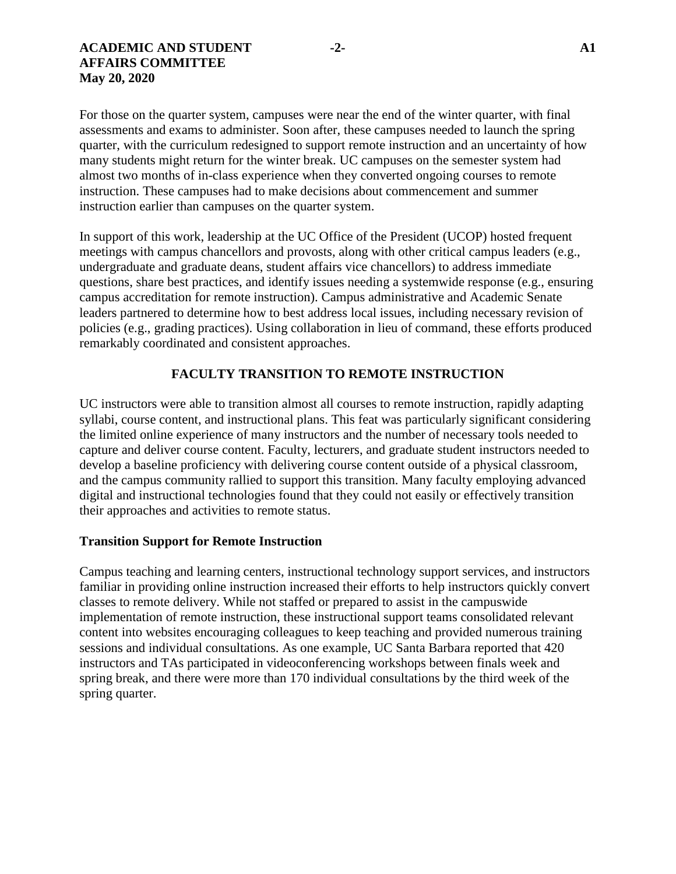For those on the quarter system, campuses were near the end of the winter quarter, with final assessments and exams to administer. Soon after, these campuses needed to launch the spring quarter, with the curriculum redesigned to support remote instruction and an uncertainty of how many students might return for the winter break. UC campuses on the semester system had almost two months of in-class experience when they converted ongoing courses to remote instruction. These campuses had to make decisions about commencement and summer instruction earlier than campuses on the quarter system.

In support of this work, leadership at the UC Office of the President (UCOP) hosted frequent meetings with campus chancellors and provosts, along with other critical campus leaders (e.g., undergraduate and graduate deans, student affairs vice chancellors) to address immediate questions, share best practices, and identify issues needing a systemwide response (e.g., ensuring campus accreditation for remote instruction). Campus administrative and Academic Senate leaders partnered to determine how to best address local issues, including necessary revision of policies (e.g., grading practices). Using collaboration in lieu of command, these efforts produced remarkably coordinated and consistent approaches.

## **FACULTY TRANSITION TO REMOTE INSTRUCTION**

UC instructors were able to transition almost all courses to remote instruction, rapidly adapting syllabi, course content, and instructional plans. This feat was particularly significant considering the limited online experience of many instructors and the number of necessary tools needed to capture and deliver course content. Faculty, lecturers, and graduate student instructors needed to develop a baseline proficiency with delivering course content outside of a physical classroom, and the campus community rallied to support this transition. Many faculty employing advanced digital and instructional technologies found that they could not easily or effectively transition their approaches and activities to remote status.

### **Transition Support for Remote Instruction**

Campus teaching and learning centers, instructional technology support services, and instructors familiar in providing online instruction increased their efforts to help instructors quickly convert classes to remote delivery. While not staffed or prepared to assist in the campuswide implementation of remote instruction, these instructional support teams consolidated relevant content into websites encouraging colleagues to keep teaching and provided numerous training sessions and individual consultations. As one example, UC Santa Barbara reported that 420 instructors and TAs participated in videoconferencing workshops between finals week and spring break, and there were more than 170 individual consultations by the third week of the spring quarter.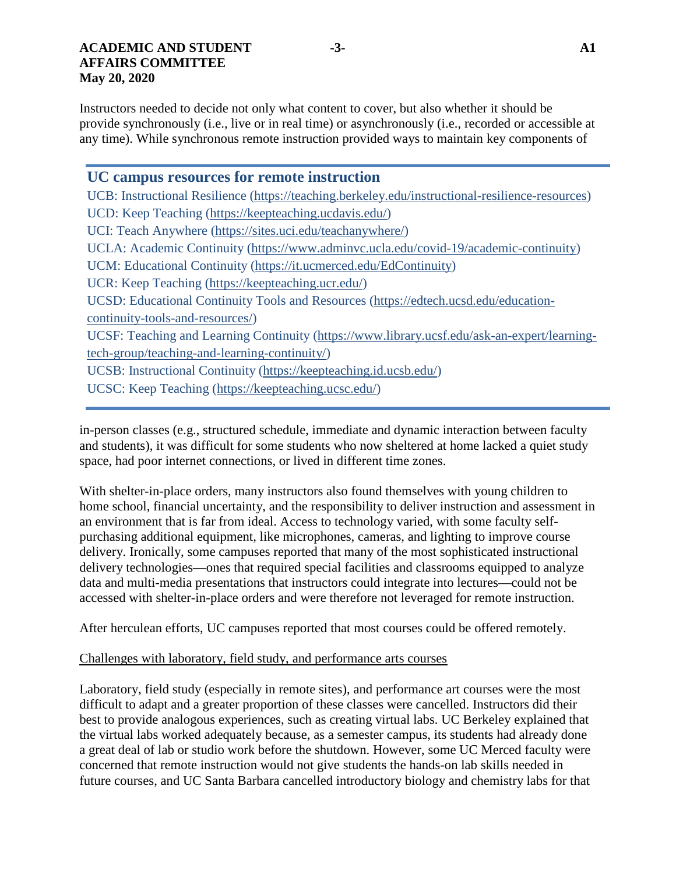Instructors needed to decide not only what content to cover, but also whether it should be provide synchronously (i.e., live or in real time) or asynchronously (i.e., recorded or accessible at any time). While synchronous remote instruction provided ways to maintain key components of

**UC campus resources for remote instruction** UCB: Instructional Resilience [\(https://teaching.berkeley.edu/instructional-resilience-resources\)](https://teaching.berkeley.edu/instructional-resilience-resources) UCD: Keep Teaching [\(https://keepteaching.ucdavis.edu/\)](https://keepteaching.ucdavis.edu/) UCI: Teach Anywhere [\(https://sites.uci.edu/teachanywhere/\)](https://sites.uci.edu/teachanywhere/) UCLA: Academic Continuity [\(https://www.adminvc.ucla.edu/covid-19/academic-continuity\)](https://www.adminvc.ucla.edu/covid-19/academic-continuity) UCM: Educational Continuity [\(https://it.ucmerced.edu/EdContinuity\)](https://it.ucmerced.edu/EdContinuity) UCR: Keep Teaching [\(https://keepteaching.ucr.edu/\)](https://keepteaching.ucr.edu/) UCSD: Educational Continuity Tools and Resources [\(https://edtech.ucsd.edu/education](https://edtech.ucsd.edu/education-continuity-tools-and-resources/)[continuity-tools-and-resources/\)](https://edtech.ucsd.edu/education-continuity-tools-and-resources/) UCSF: Teaching and Learning Continuity [\(https://www.library.ucsf.edu/ask-an-expert/learning](https://www.library.ucsf.edu/ask-an-expert/learning-tech-group/teaching-and-learning-continuity/)[tech-group/teaching-and-learning-continuity/\)](https://www.library.ucsf.edu/ask-an-expert/learning-tech-group/teaching-and-learning-continuity/) UCSB: Instructional Continuity [\(https://keepteaching.id.ucsb.edu/\)](https://keepteaching.id.ucsb.edu/) UCSC: Keep Teaching [\(https://keepteaching.ucsc.edu/\)](https://keepteaching.ucsc.edu/)

in-person classes (e.g., structured schedule, immediate and dynamic interaction between faculty and students), it was difficult for some students who now sheltered at home lacked a quiet study space, had poor internet connections, or lived in different time zones.

With shelter-in-place orders, many instructors also found themselves with young children to home school, financial uncertainty, and the responsibility to deliver instruction and assessment in an environment that is far from ideal. Access to technology varied, with some faculty selfpurchasing additional equipment, like microphones, cameras, and lighting to improve course delivery. Ironically, some campuses reported that many of the most sophisticated instructional delivery technologies—ones that required special facilities and classrooms equipped to analyze data and multi-media presentations that instructors could integrate into lectures—could not be accessed with shelter-in-place orders and were therefore not leveraged for remote instruction.

After herculean efforts, UC campuses reported that most courses could be offered remotely.

### Challenges with laboratory, field study, and performance arts courses

Laboratory, field study (especially in remote sites), and performance art courses were the most difficult to adapt and a greater proportion of these classes were cancelled. Instructors did their best to provide analogous experiences, such as creating virtual labs. UC Berkeley explained that the virtual labs worked adequately because, as a semester campus, its students had already done a great deal of lab or studio work before the shutdown. However, some UC Merced faculty were concerned that remote instruction would not give students the hands-on lab skills needed in future courses, and UC Santa Barbara cancelled introductory biology and chemistry labs for that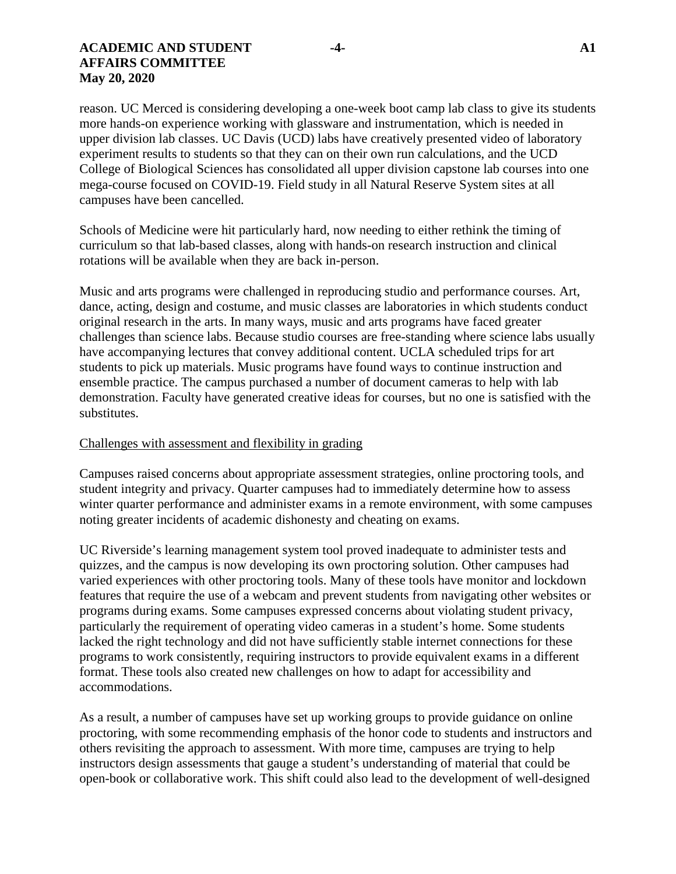#### **ACADEMIC AND STUDENT -4- A1 AFFAIRS COMMITTEE May 20, 2020**

reason. UC Merced is considering developing a one-week boot camp lab class to give its students more hands-on experience working with glassware and instrumentation, which is needed in upper division lab classes. UC Davis (UCD) labs have creatively presented video of laboratory experiment results to students so that they can on their own run calculations, and the UCD College of Biological Sciences has consolidated all upper division capstone lab courses into one mega-course focused on COVID-19. Field study in all Natural Reserve System sites at all campuses have been cancelled.

Schools of Medicine were hit particularly hard, now needing to either rethink the timing of curriculum so that lab-based classes, along with hands-on research instruction and clinical rotations will be available when they are back in-person.

Music and arts programs were challenged in reproducing studio and performance courses. Art, dance, acting, design and costume, and music classes are laboratories in which students conduct original research in the arts. In many ways, music and arts programs have faced greater challenges than science labs. Because studio courses are free-standing where science labs usually have accompanying lectures that convey additional content. UCLA scheduled trips for art students to pick up materials. Music programs have found ways to continue instruction and ensemble practice. The campus purchased a number of document cameras to help with lab demonstration. Faculty have generated creative ideas for courses, but no one is satisfied with the substitutes.

### Challenges with assessment and flexibility in grading

Campuses raised concerns about appropriate assessment strategies, online proctoring tools, and student integrity and privacy. Quarter campuses had to immediately determine how to assess winter quarter performance and administer exams in a remote environment, with some campuses noting greater incidents of academic dishonesty and cheating on exams.

UC Riverside's learning management system tool proved inadequate to administer tests and quizzes, and the campus is now developing its own proctoring solution. Other campuses had varied experiences with other proctoring tools. Many of these tools have monitor and lockdown features that require the use of a webcam and prevent students from navigating other websites or programs during exams. Some campuses expressed concerns about violating student privacy, particularly the requirement of operating video cameras in a student's home. Some students lacked the right technology and did not have sufficiently stable internet connections for these programs to work consistently, requiring instructors to provide equivalent exams in a different format. These tools also created new challenges on how to adapt for accessibility and accommodations.

As a result, a number of campuses have set up working groups to provide guidance on online proctoring, with some recommending emphasis of the honor code to students and instructors and others revisiting the approach to assessment. With more time, campuses are trying to help instructors design assessments that gauge a student's understanding of material that could be open-book or collaborative work. This shift could also lead to the development of well-designed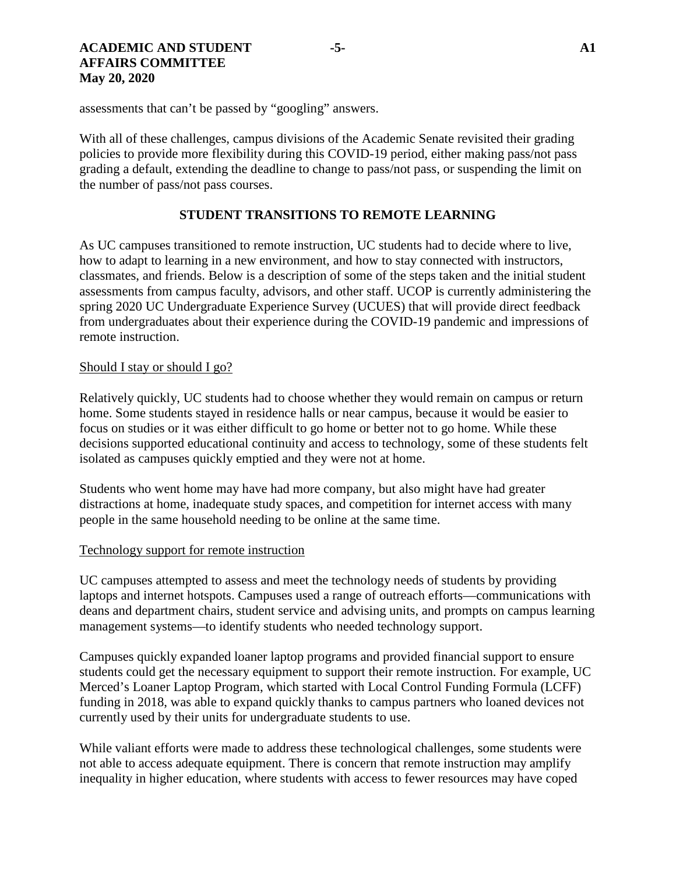#### **ACADEMIC AND STUDENT -5- A1 AFFAIRS COMMITTEE May 20, 2020**

assessments that can't be passed by "googling" answers.

With all of these challenges, campus divisions of the Academic Senate revisited their grading policies to provide more flexibility during this COVID-19 period, either making pass/not pass grading a default, extending the deadline to change to pass/not pass, or suspending the limit on the number of pass/not pass courses.

## **STUDENT TRANSITIONS TO REMOTE LEARNING**

As UC campuses transitioned to remote instruction, UC students had to decide where to live, how to adapt to learning in a new environment, and how to stay connected with instructors, classmates, and friends. Below is a description of some of the steps taken and the initial student assessments from campus faculty, advisors, and other staff. UCOP is currently administering the spring 2020 UC Undergraduate Experience Survey (UCUES) that will provide direct feedback from undergraduates about their experience during the COVID-19 pandemic and impressions of remote instruction.

#### Should I stay or should I go?

Relatively quickly, UC students had to choose whether they would remain on campus or return home. Some students stayed in residence halls or near campus, because it would be easier to focus on studies or it was either difficult to go home or better not to go home. While these decisions supported educational continuity and access to technology, some of these students felt isolated as campuses quickly emptied and they were not at home.

Students who went home may have had more company, but also might have had greater distractions at home, inadequate study spaces, and competition for internet access with many people in the same household needing to be online at the same time.

### Technology support for remote instruction

UC campuses attempted to assess and meet the technology needs of students by providing laptops and internet hotspots. Campuses used a range of outreach efforts—communications with deans and department chairs, student service and advising units, and prompts on campus learning management systems—to identify students who needed technology support.

Campuses quickly expanded loaner laptop programs and provided financial support to ensure students could get the necessary equipment to support their remote instruction. For example, UC Merced's Loaner Laptop Program, which started with Local Control Funding Formula (LCFF) funding in 2018, was able to expand quickly thanks to campus partners who loaned devices not currently used by their units for undergraduate students to use.

While valiant efforts were made to address these technological challenges, some students were not able to access adequate equipment. There is concern that remote instruction may amplify inequality in higher education, where students with access to fewer resources may have coped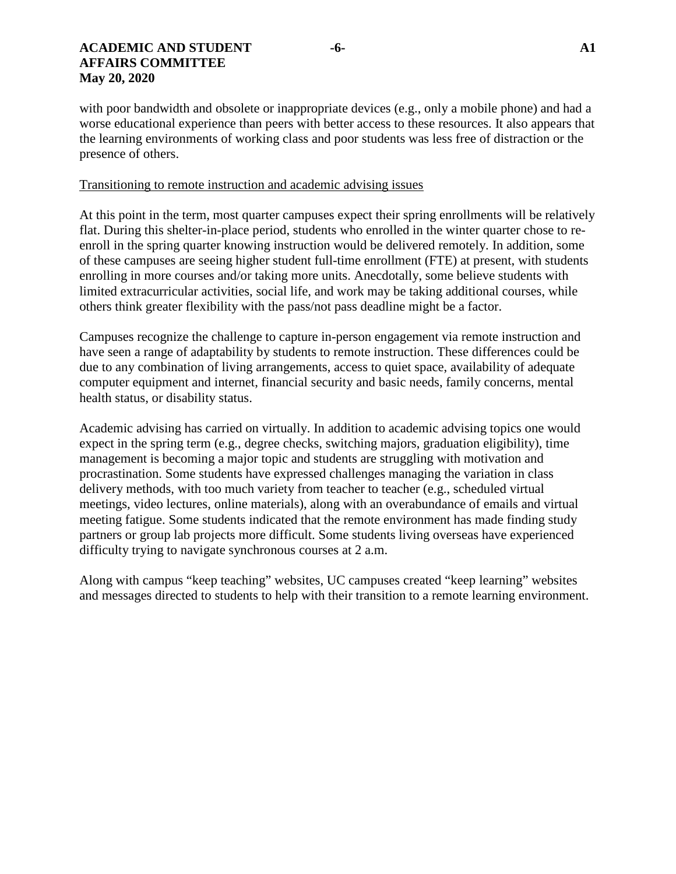with poor bandwidth and obsolete or inappropriate devices (e.g., only a mobile phone) and had a worse educational experience than peers with better access to these resources. It also appears that the learning environments of working class and poor students was less free of distraction or the presence of others.

#### Transitioning to remote instruction and academic advising issues

At this point in the term, most quarter campuses expect their spring enrollments will be relatively flat. During this shelter-in-place period, students who enrolled in the winter quarter chose to reenroll in the spring quarter knowing instruction would be delivered remotely. In addition, some of these campuses are seeing higher student full-time enrollment (FTE) at present, with students enrolling in more courses and/or taking more units. Anecdotally, some believe students with limited extracurricular activities, social life, and work may be taking additional courses, while others think greater flexibility with the pass/not pass deadline might be a factor.

Campuses recognize the challenge to capture in-person engagement via remote instruction and have seen a range of adaptability by students to remote instruction. These differences could be due to any combination of living arrangements, access to quiet space, availability of adequate computer equipment and internet, financial security and basic needs, family concerns, mental health status, or disability status.

Academic advising has carried on virtually. In addition to academic advising topics one would expect in the spring term (e.g., degree checks, switching majors, graduation eligibility), time management is becoming a major topic and students are struggling with motivation and procrastination. Some students have expressed challenges managing the variation in class delivery methods, with too much variety from teacher to teacher (e.g., scheduled virtual meetings, video lectures, online materials), along with an overabundance of emails and virtual meeting fatigue. Some students indicated that the remote environment has made finding study partners or group lab projects more difficult. Some students living overseas have experienced difficulty trying to navigate synchronous courses at 2 a.m.

Along with campus "keep teaching" websites, UC campuses created "keep learning" websites and messages directed to students to help with their transition to a remote learning environment.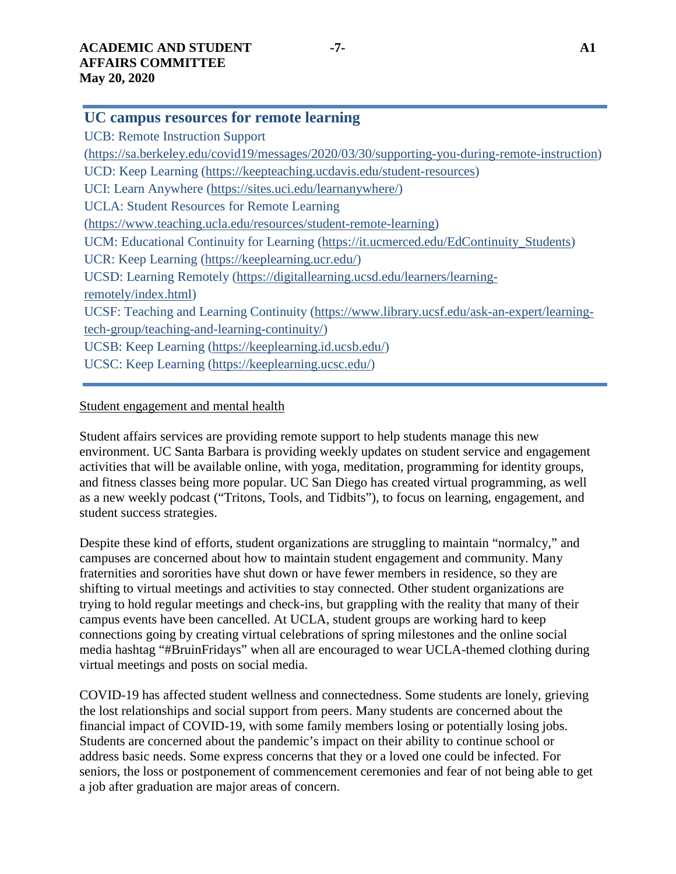## **UC campus resources for remote learning**

UCB: Remote Instruction Support [\(https://sa.berkeley.edu/covid19/messages/2020/03/30/supporting-you-during-remote-instruction\)](https://sa.berkeley.edu/covid19/messages/2020/03/30/supporting-you-during-remote-instruction) UCD: Keep Learning [\(https://keepteaching.ucdavis.edu/student-resources\)](https://keepteaching.ucdavis.edu/student-resources) UCI: Learn Anywhere [\(https://sites.uci.edu/learnanywhere/\)](https://sites.uci.edu/learnanywhere/) UCLA: Student Resources for Remote Learning [\(https://www.teaching.ucla.edu/resources/student-remote-learning\)](https://www.teaching.ucla.edu/resources/student-remote-learning) UCM: Educational Continuity for Learning [\(https://it.ucmerced.edu/EdContinuity\\_Students\)](https://it.ucmerced.edu/EdContinuity_Students) UCR: Keep Learning [\(https://keeplearning.ucr.edu/\)](https://keeplearning.ucr.edu/) UCSD: Learning Remotely [\(https://digitallearning.ucsd.edu/learners/learning](https://digitallearning.ucsd.edu/learners/learning-remotely/index.html)[remotely/index.html\)](https://digitallearning.ucsd.edu/learners/learning-remotely/index.html) UCSF: Teaching and Learning Continuity [\(https://www.library.ucsf.edu/ask-an-expert/learning](https://www.library.ucsf.edu/ask-an-expert/learning-tech-group/teaching-and-learning-continuity/)[tech-group/teaching-and-learning-continuity/\)](https://www.library.ucsf.edu/ask-an-expert/learning-tech-group/teaching-and-learning-continuity/) UCSB: Keep Learning [\(https://keeplearning.id.ucsb.edu/\)](https://keeplearning.id.ucsb.edu/) UCSC: Keep Learning [\(https://keeplearning.ucsc.edu/\)](https://keeplearning.ucsc.edu/)

# Student engagement and mental health

Student affairs services are providing remote support to help students manage this new environment. UC Santa Barbara is providing weekly updates on student service and engagement activities that will be available online, with yoga, meditation, programming for identity groups, and fitness classes being more popular. UC San Diego has created virtual programming, as well as a new weekly podcast ("Tritons, Tools, and Tidbits"), to focus on learning, engagement, and student success strategies.

Despite these kind of efforts, student organizations are struggling to maintain "normalcy," and campuses are concerned about how to maintain student engagement and community. Many fraternities and sororities have shut down or have fewer members in residence, so they are shifting to virtual meetings and activities to stay connected. Other student organizations are trying to hold regular meetings and check-ins, but grappling with the reality that many of their campus events have been cancelled. At UCLA, student groups are working hard to keep connections going by creating virtual celebrations of spring milestones and the online social media hashtag "#BruinFridays" when all are encouraged to wear UCLA-themed clothing during virtual meetings and posts on social media.

COVID-19 has affected student wellness and connectedness. Some students are lonely, grieving the lost relationships and social support from peers. Many students are concerned about the financial impact of COVID-19, with some family members losing or potentially losing jobs. Students are concerned about the pandemic's impact on their ability to continue school or address basic needs. Some express concerns that they or a loved one could be infected. For seniors, the loss or postponement of commencement ceremonies and fear of not being able to get a job after graduation are major areas of concern.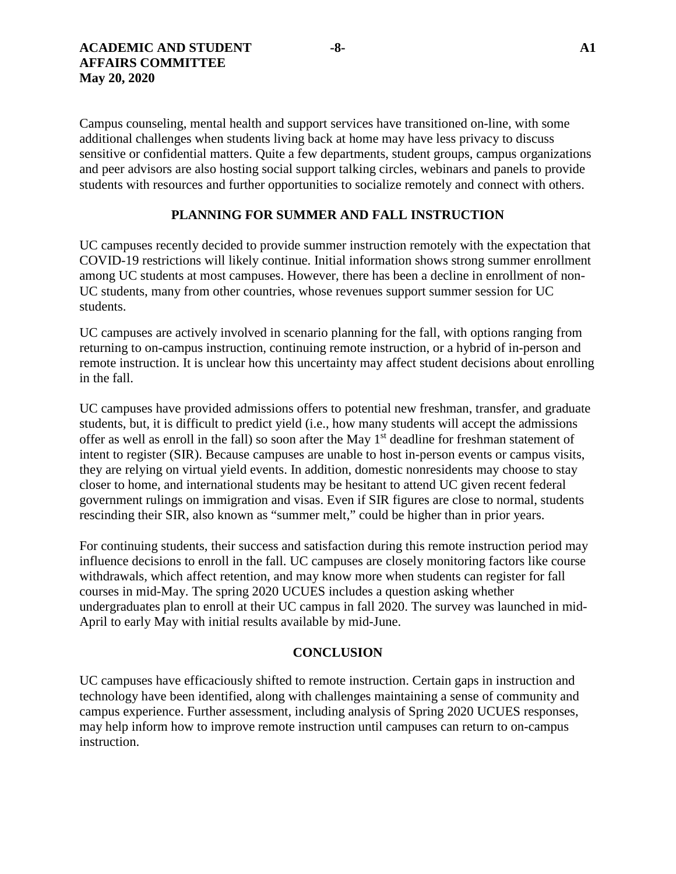Campus counseling, mental health and support services have transitioned on-line, with some additional challenges when students living back at home may have less privacy to discuss sensitive or confidential matters. Quite a few departments, student groups, campus organizations and peer advisors are also hosting social support talking circles, webinars and panels to provide students with resources and further opportunities to socialize remotely and connect with others.

## **PLANNING FOR SUMMER AND FALL INSTRUCTION**

UC campuses recently decided to provide summer instruction remotely with the expectation that COVID-19 restrictions will likely continue. Initial information shows strong summer enrollment among UC students at most campuses. However, there has been a decline in enrollment of non-UC students, many from other countries, whose revenues support summer session for UC students.

UC campuses are actively involved in scenario planning for the fall, with options ranging from returning to on-campus instruction, continuing remote instruction, or a hybrid of in-person and remote instruction. It is unclear how this uncertainty may affect student decisions about enrolling in the fall.

UC campuses have provided admissions offers to potential new freshman, transfer, and graduate students, but, it is difficult to predict yield (i.e., how many students will accept the admissions offer as well as enroll in the fall) so soon after the May 1<sup>st</sup> deadline for freshman statement of intent to register (SIR). Because campuses are unable to host in-person events or campus visits, they are relying on virtual yield events. In addition, domestic nonresidents may choose to stay closer to home, and international students may be hesitant to attend UC given recent federal government rulings on immigration and visas. Even if SIR figures are close to normal, students rescinding their SIR, also known as "summer melt," could be higher than in prior years.

For continuing students, their success and satisfaction during this remote instruction period may influence decisions to enroll in the fall. UC campuses are closely monitoring factors like course withdrawals, which affect retention, and may know more when students can register for fall courses in mid-May. The spring 2020 UCUES includes a question asking whether undergraduates plan to enroll at their UC campus in fall 2020. The survey was launched in mid-April to early May with initial results available by mid-June.

#### **CONCLUSION**

UC campuses have efficaciously shifted to remote instruction. Certain gaps in instruction and technology have been identified, along with challenges maintaining a sense of community and campus experience. Further assessment, including analysis of Spring 2020 UCUES responses, may help inform how to improve remote instruction until campuses can return to on-campus instruction.